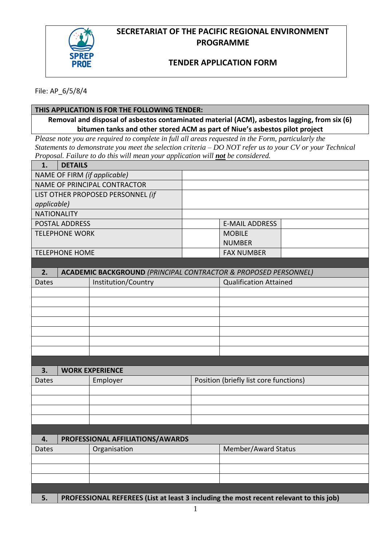

## **SECRETARIAT OF THE PACIFIC REGIONAL ENVIRONMENT PROGRAMME**

## **TENDER APPLICATION FORM**

File: AP\_6/5/8/4

## **THIS APPLICATION IS FOR THE FOLLOWING TENDER:**

**Removal and disposal of asbestos contaminated material (ACM), asbestos lagging, from six (6) bitumen tanks and other stored ACM as part of Niue's asbestos pilot project**

*Please note you are required to complete in full all areas requested in the Form, particularly the Statements to demonstrate you meet the selection criteria – DO NOT refer us to your CV or your Technical Proposal. Failure to do this will mean your application will not be considered.*

| 1.                                | <b>DETAILS</b> |                                                                                        |                                        |                               |  |  |
|-----------------------------------|----------------|----------------------------------------------------------------------------------------|----------------------------------------|-------------------------------|--|--|
| NAME OF FIRM (if applicable)      |                |                                                                                        |                                        |                               |  |  |
|                                   |                | NAME OF PRINCIPAL CONTRACTOR                                                           |                                        |                               |  |  |
| LIST OTHER PROPOSED PERSONNEL (if |                |                                                                                        |                                        |                               |  |  |
| applicable)                       |                |                                                                                        |                                        |                               |  |  |
| <b>NATIONALITY</b>                |                |                                                                                        |                                        |                               |  |  |
| <b>POSTAL ADDRESS</b>             |                |                                                                                        |                                        | <b>E-MAIL ADDRESS</b>         |  |  |
| <b>TELEPHONE WORK</b>             |                |                                                                                        |                                        | <b>MOBILE</b>                 |  |  |
|                                   |                |                                                                                        |                                        | <b>NUMBER</b>                 |  |  |
| <b>TELEPHONE HOME</b>             |                |                                                                                        |                                        | <b>FAX NUMBER</b>             |  |  |
|                                   |                |                                                                                        |                                        |                               |  |  |
| 2.                                |                | <b>ACADEMIC BACKGROUND (PRINCIPAL CONTRACTOR &amp; PROPOSED PERSONNEL)</b>             |                                        |                               |  |  |
| Institution/Country<br>Dates      |                |                                                                                        |                                        | <b>Qualification Attained</b> |  |  |
|                                   |                |                                                                                        |                                        |                               |  |  |
|                                   |                |                                                                                        |                                        |                               |  |  |
|                                   |                |                                                                                        |                                        |                               |  |  |
|                                   |                |                                                                                        |                                        |                               |  |  |
|                                   |                |                                                                                        |                                        |                               |  |  |
|                                   |                |                                                                                        |                                        |                               |  |  |
|                                   |                |                                                                                        |                                        |                               |  |  |
|                                   |                |                                                                                        |                                        |                               |  |  |
| 3.                                |                | <b>WORK EXPERIENCE</b>                                                                 |                                        |                               |  |  |
| Dates                             |                | Employer                                                                               | Position (briefly list core functions) |                               |  |  |
|                                   |                |                                                                                        |                                        |                               |  |  |
|                                   |                |                                                                                        |                                        |                               |  |  |
|                                   |                |                                                                                        |                                        |                               |  |  |
|                                   |                |                                                                                        |                                        |                               |  |  |
| 4.                                |                |                                                                                        |                                        |                               |  |  |
| Dates                             |                | PROFESSIONAL AFFILIATIONS/AWARDS<br>Organisation                                       |                                        | Member/Award Status           |  |  |
|                                   |                |                                                                                        |                                        |                               |  |  |
|                                   |                |                                                                                        |                                        |                               |  |  |
|                                   |                |                                                                                        |                                        |                               |  |  |
|                                   |                |                                                                                        |                                        |                               |  |  |
| 5.                                |                | PROFESSIONAL REFEREES (List at least 3 including the most recent relevant to this job) |                                        |                               |  |  |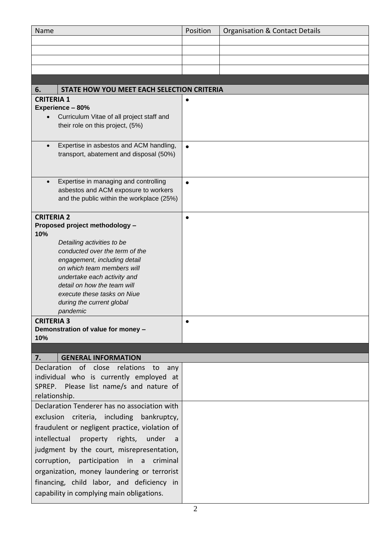| Position<br><b>Organisation &amp; Contact Details</b><br>Name                                   |  |  |  |  |  |  |  |  |
|-------------------------------------------------------------------------------------------------|--|--|--|--|--|--|--|--|
|                                                                                                 |  |  |  |  |  |  |  |  |
|                                                                                                 |  |  |  |  |  |  |  |  |
|                                                                                                 |  |  |  |  |  |  |  |  |
|                                                                                                 |  |  |  |  |  |  |  |  |
| 6.<br>STATE HOW YOU MEET EACH SELECTION CRITERIA                                                |  |  |  |  |  |  |  |  |
| <b>CRITERIA 1</b>                                                                               |  |  |  |  |  |  |  |  |
| Experience - 80%                                                                                |  |  |  |  |  |  |  |  |
| Curriculum Vitae of all project staff and                                                       |  |  |  |  |  |  |  |  |
| their role on this project, (5%)                                                                |  |  |  |  |  |  |  |  |
|                                                                                                 |  |  |  |  |  |  |  |  |
| Expertise in asbestos and ACM handling,<br>$\bullet$<br>transport, abatement and disposal (50%) |  |  |  |  |  |  |  |  |
|                                                                                                 |  |  |  |  |  |  |  |  |
|                                                                                                 |  |  |  |  |  |  |  |  |
| Expertise in managing and controlling<br>$\bullet$                                              |  |  |  |  |  |  |  |  |
| asbestos and ACM exposure to workers<br>and the public within the workplace (25%)               |  |  |  |  |  |  |  |  |
|                                                                                                 |  |  |  |  |  |  |  |  |
| <b>CRITERIA 2</b><br>$\bullet$                                                                  |  |  |  |  |  |  |  |  |
| Proposed project methodology -                                                                  |  |  |  |  |  |  |  |  |
| 10%<br>Detailing activities to be                                                               |  |  |  |  |  |  |  |  |
| conducted over the term of the                                                                  |  |  |  |  |  |  |  |  |
| engagement, including detail                                                                    |  |  |  |  |  |  |  |  |
| on which team members will                                                                      |  |  |  |  |  |  |  |  |
| undertake each activity and                                                                     |  |  |  |  |  |  |  |  |
| detail on how the team will                                                                     |  |  |  |  |  |  |  |  |
| execute these tasks on Niue<br>during the current global                                        |  |  |  |  |  |  |  |  |
| pandemic                                                                                        |  |  |  |  |  |  |  |  |
| <b>CRITERIA 3</b>                                                                               |  |  |  |  |  |  |  |  |
| Demonstration of value for money -                                                              |  |  |  |  |  |  |  |  |
| 10%                                                                                             |  |  |  |  |  |  |  |  |
| 7.<br><b>GENERAL INFORMATION</b>                                                                |  |  |  |  |  |  |  |  |
| Declaration of close relations to<br>any                                                        |  |  |  |  |  |  |  |  |
| individual who is currently employed at                                                         |  |  |  |  |  |  |  |  |
| SPREP. Please list name/s and nature of                                                         |  |  |  |  |  |  |  |  |
| relationship.                                                                                   |  |  |  |  |  |  |  |  |
| Declaration Tenderer has no association with                                                    |  |  |  |  |  |  |  |  |
| exclusion criteria, including<br>bankruptcy,                                                    |  |  |  |  |  |  |  |  |
| fraudulent or negligent practice, violation of                                                  |  |  |  |  |  |  |  |  |
| intellectual<br>property rights,<br>under<br>- a                                                |  |  |  |  |  |  |  |  |
| judgment by the court, misrepresentation,                                                       |  |  |  |  |  |  |  |  |
| corruption, participation in a criminal                                                         |  |  |  |  |  |  |  |  |
| organization, money laundering or terrorist                                                     |  |  |  |  |  |  |  |  |
| financing, child labor, and deficiency in                                                       |  |  |  |  |  |  |  |  |
| capability in complying main obligations.                                                       |  |  |  |  |  |  |  |  |